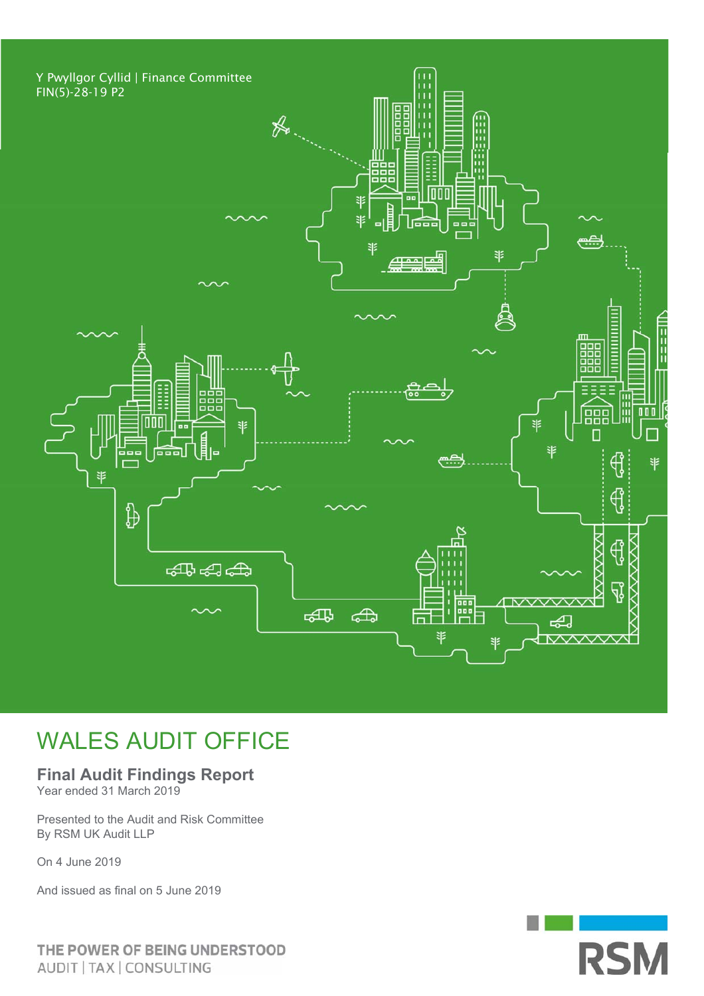

## WALES AUDIT OFFICE

### **Final Audit Findings Report**

Year ended 31 March 2019

Presented to the Audit and Risk Committee By RSM UK Audit LLP

On 4 June 2019

And issued as final on 5 June 2019

THE POWER OF BEING UNDERSTOOD AUDIT | TAX | CONSULTING

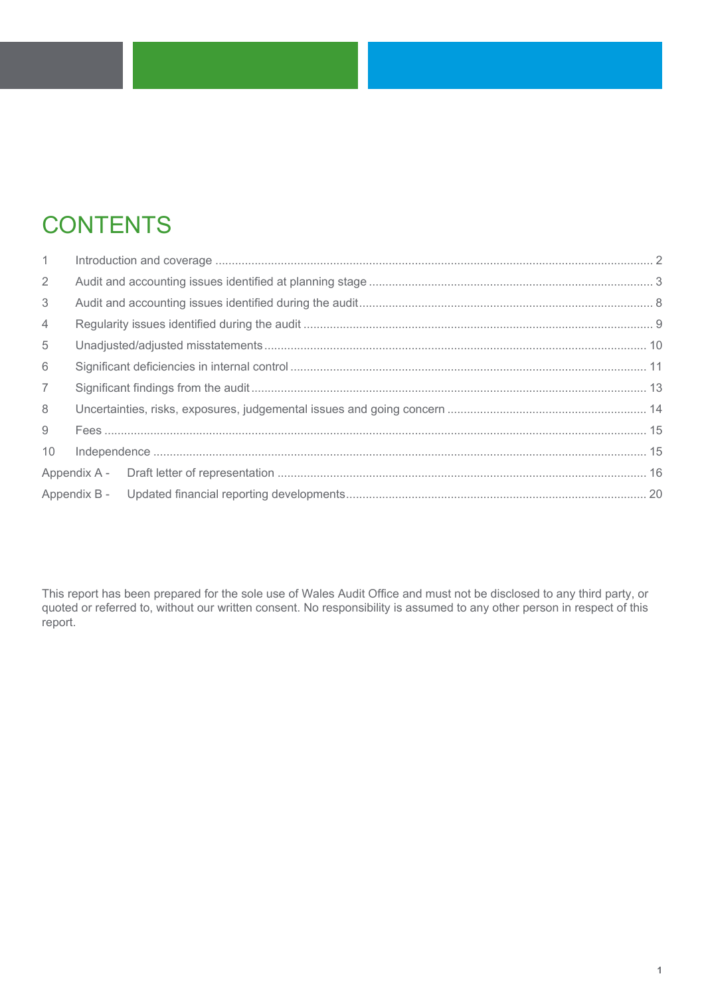# **CONTENTS**

| $\mathbf{1}$    |  |  |
|-----------------|--|--|
| $\overline{2}$  |  |  |
| 3               |  |  |
| 4               |  |  |
| 5               |  |  |
| 6               |  |  |
| $\overline{7}$  |  |  |
| 8               |  |  |
| 9               |  |  |
| 10 <sup>1</sup> |  |  |
|                 |  |  |
|                 |  |  |

This report has been prepared for the sole use of Wales Audit Office and must not be disclosed to any third party, or quoted or referred to, without our written consent. No responsibility is assumed to any other person in respect of this report.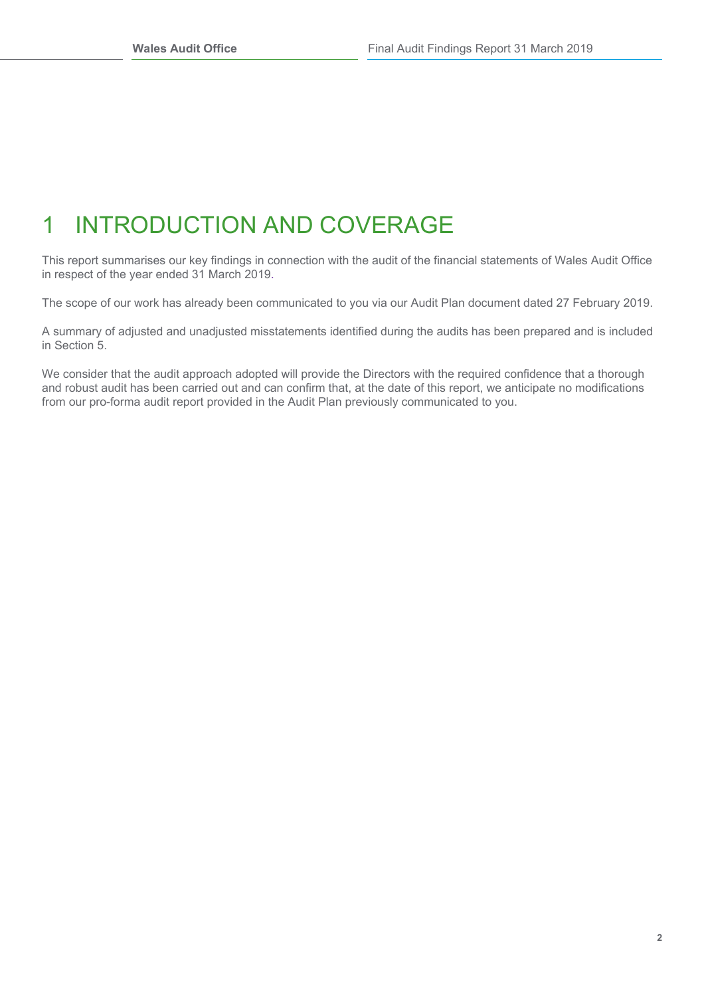# 1 INTRODUCTION AND COVERAGE

This report summarises our key findings in connection with the audit of the financial statements of Wales Audit Office in respect of the year ended 31 March 2019.

The scope of our work has already been communicated to you via our Audit Plan document dated 27 February 2019.

A summary of adjusted and unadjusted misstatements identified during the audits has been prepared and is included in Section 5.

We consider that the audit approach adopted will provide the Directors with the required confidence that a thorough and robust audit has been carried out and can confirm that, at the date of this report, we anticipate no modifications from our pro-forma audit report provided in the Audit Plan previously communicated to you.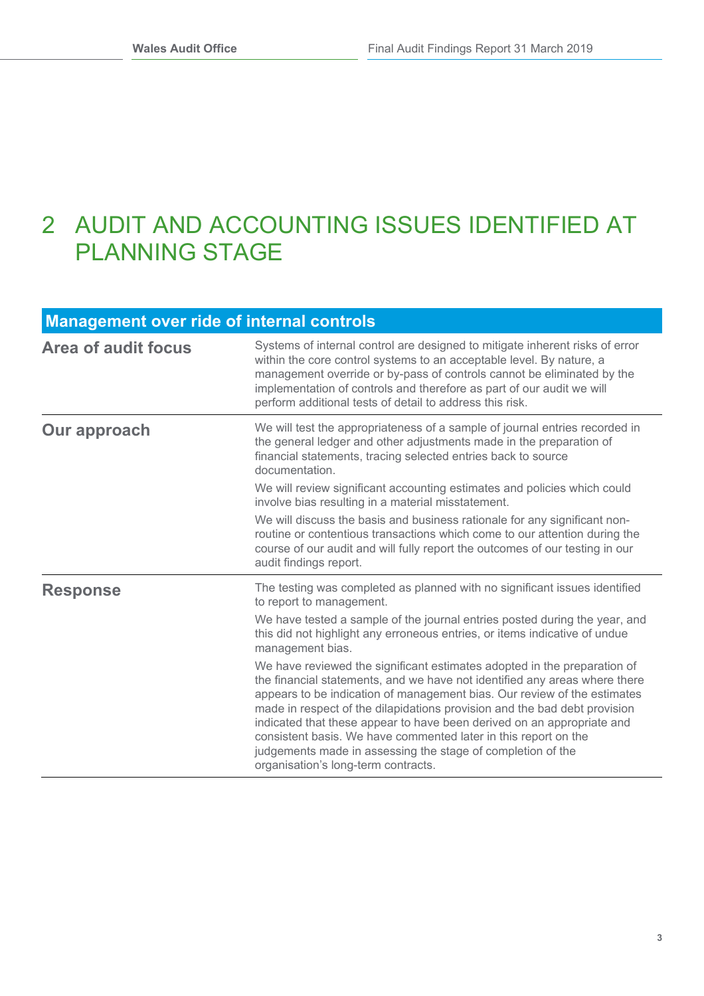## 2 AUDIT AND ACCOUNTING ISSUES IDENTIFIED AT PLANNING STAGE

### **Management over ride of internal controls**

| <b>Area of audit focus</b> | Systems of internal control are designed to mitigate inherent risks of error<br>within the core control systems to an acceptable level. By nature, a<br>management override or by-pass of controls cannot be eliminated by the<br>implementation of controls and therefore as part of our audit we will<br>perform additional tests of detail to address this risk.                                                                                                                                                                                                |
|----------------------------|--------------------------------------------------------------------------------------------------------------------------------------------------------------------------------------------------------------------------------------------------------------------------------------------------------------------------------------------------------------------------------------------------------------------------------------------------------------------------------------------------------------------------------------------------------------------|
| <b>Our approach</b>        | We will test the appropriateness of a sample of journal entries recorded in<br>the general ledger and other adjustments made in the preparation of<br>financial statements, tracing selected entries back to source<br>documentation.                                                                                                                                                                                                                                                                                                                              |
|                            | We will review significant accounting estimates and policies which could<br>involve bias resulting in a material misstatement.                                                                                                                                                                                                                                                                                                                                                                                                                                     |
|                            | We will discuss the basis and business rationale for any significant non-<br>routine or contentious transactions which come to our attention during the<br>course of our audit and will fully report the outcomes of our testing in our<br>audit findings report.                                                                                                                                                                                                                                                                                                  |
| <b>Response</b>            | The testing was completed as planned with no significant issues identified<br>to report to management.                                                                                                                                                                                                                                                                                                                                                                                                                                                             |
|                            | We have tested a sample of the journal entries posted during the year, and<br>this did not highlight any erroneous entries, or items indicative of undue<br>management bias.                                                                                                                                                                                                                                                                                                                                                                                       |
|                            | We have reviewed the significant estimates adopted in the preparation of<br>the financial statements, and we have not identified any areas where there<br>appears to be indication of management bias. Our review of the estimates<br>made in respect of the dilapidations provision and the bad debt provision<br>indicated that these appear to have been derived on an appropriate and<br>consistent basis. We have commented later in this report on the<br>judgements made in assessing the stage of completion of the<br>organisation's long-term contracts. |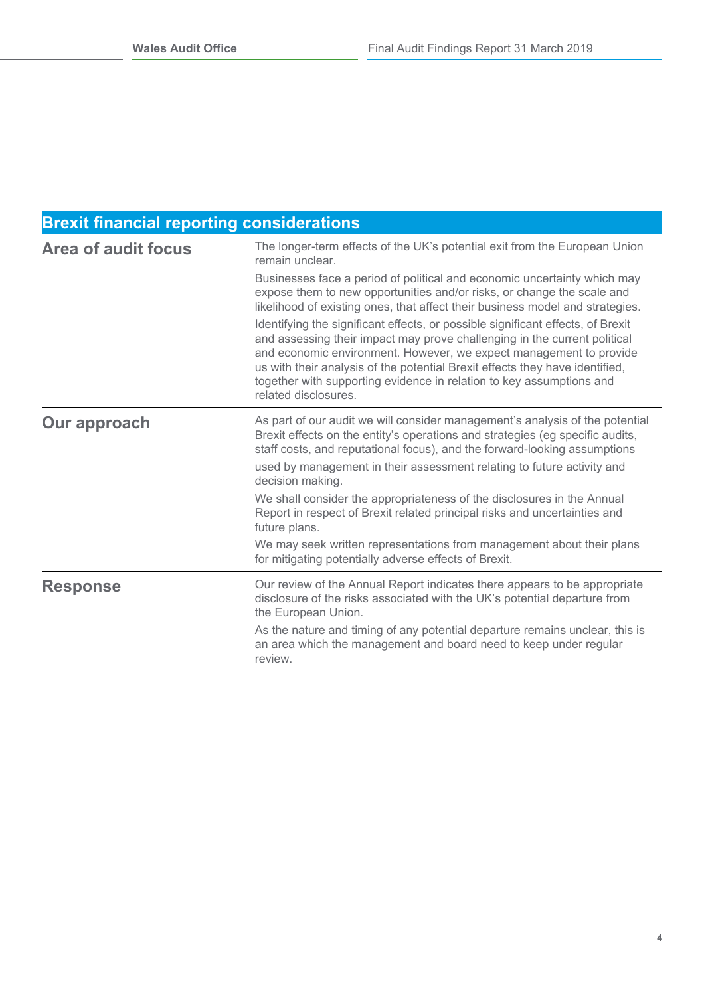### **Brexit financial reporting considerations**

| <b>Area of audit focus</b> | The longer-term effects of the UK's potential exit from the European Union<br>remain unclear.                                                                                                                                                                                                                                                                                                                      |  |  |
|----------------------------|--------------------------------------------------------------------------------------------------------------------------------------------------------------------------------------------------------------------------------------------------------------------------------------------------------------------------------------------------------------------------------------------------------------------|--|--|
|                            | Businesses face a period of political and economic uncertainty which may<br>expose them to new opportunities and/or risks, or change the scale and<br>likelihood of existing ones, that affect their business model and strategies.                                                                                                                                                                                |  |  |
|                            | Identifying the significant effects, or possible significant effects, of Brexit<br>and assessing their impact may prove challenging in the current political<br>and economic environment. However, we expect management to provide<br>us with their analysis of the potential Brexit effects they have identified,<br>together with supporting evidence in relation to key assumptions and<br>related disclosures. |  |  |
| <b>Our approach</b>        | As part of our audit we will consider management's analysis of the potential<br>Brexit effects on the entity's operations and strategies (eg specific audits,<br>staff costs, and reputational focus), and the forward-looking assumptions                                                                                                                                                                         |  |  |
|                            | used by management in their assessment relating to future activity and<br>decision making.                                                                                                                                                                                                                                                                                                                         |  |  |
|                            | We shall consider the appropriateness of the disclosures in the Annual<br>Report in respect of Brexit related principal risks and uncertainties and<br>future plans.                                                                                                                                                                                                                                               |  |  |
|                            | We may seek written representations from management about their plans<br>for mitigating potentially adverse effects of Brexit.                                                                                                                                                                                                                                                                                     |  |  |
| <b>Response</b>            | Our review of the Annual Report indicates there appears to be appropriate<br>disclosure of the risks associated with the UK's potential departure from<br>the European Union.                                                                                                                                                                                                                                      |  |  |
|                            | As the nature and timing of any potential departure remains unclear, this is<br>an area which the management and board need to keep under regular<br>review.                                                                                                                                                                                                                                                       |  |  |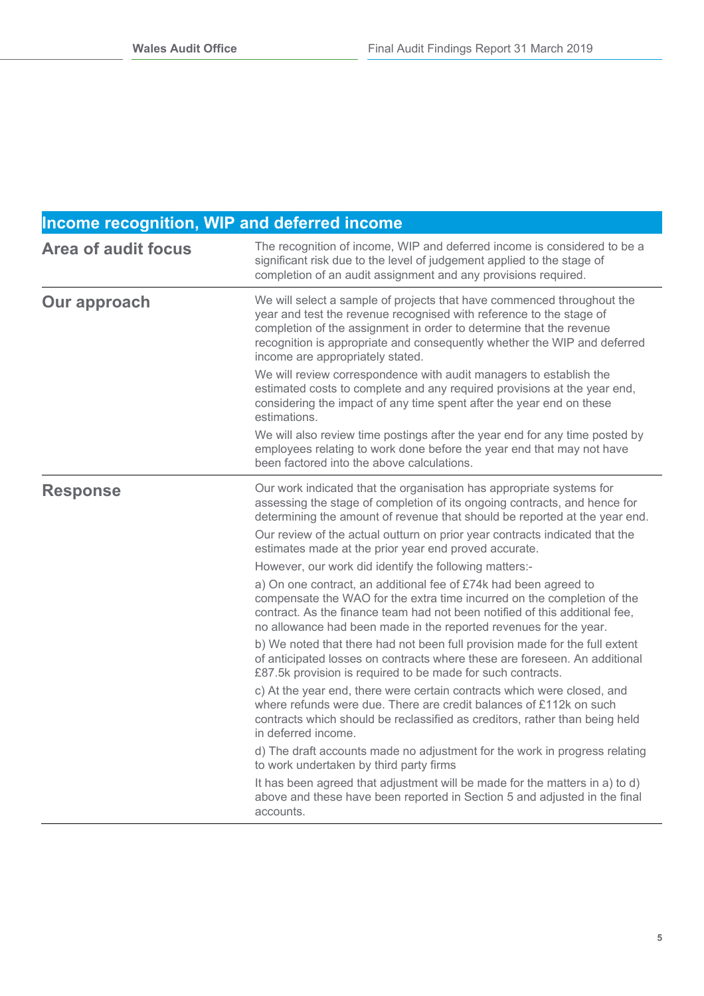| Income recognition, WIP and deferred income |                                                                                                                                                                                                                                                                                                                                                                                                                                                                                                                                                                                                                                                                                                                                                                                                                                                                                                                                                                                                                                                                                                                                                                                                                                                                                                                                                                                                                                                                                                                           |  |
|---------------------------------------------|---------------------------------------------------------------------------------------------------------------------------------------------------------------------------------------------------------------------------------------------------------------------------------------------------------------------------------------------------------------------------------------------------------------------------------------------------------------------------------------------------------------------------------------------------------------------------------------------------------------------------------------------------------------------------------------------------------------------------------------------------------------------------------------------------------------------------------------------------------------------------------------------------------------------------------------------------------------------------------------------------------------------------------------------------------------------------------------------------------------------------------------------------------------------------------------------------------------------------------------------------------------------------------------------------------------------------------------------------------------------------------------------------------------------------------------------------------------------------------------------------------------------------|--|
| <b>Area of audit focus</b>                  | The recognition of income, WIP and deferred income is considered to be a<br>significant risk due to the level of judgement applied to the stage of<br>completion of an audit assignment and any provisions required.                                                                                                                                                                                                                                                                                                                                                                                                                                                                                                                                                                                                                                                                                                                                                                                                                                                                                                                                                                                                                                                                                                                                                                                                                                                                                                      |  |
| Our approach                                | We will select a sample of projects that have commenced throughout the<br>year and test the revenue recognised with reference to the stage of<br>completion of the assignment in order to determine that the revenue<br>recognition is appropriate and consequently whether the WIP and deferred<br>income are appropriately stated.<br>We will review correspondence with audit managers to establish the<br>estimated costs to complete and any required provisions at the year end,<br>considering the impact of any time spent after the year end on these<br>estimations.<br>We will also review time postings after the year end for any time posted by<br>employees relating to work done before the year end that may not have<br>been factored into the above calculations.                                                                                                                                                                                                                                                                                                                                                                                                                                                                                                                                                                                                                                                                                                                                      |  |
| <b>Response</b>                             | Our work indicated that the organisation has appropriate systems for<br>assessing the stage of completion of its ongoing contracts, and hence for<br>determining the amount of revenue that should be reported at the year end.<br>Our review of the actual outturn on prior year contracts indicated that the<br>estimates made at the prior year end proved accurate.<br>However, our work did identify the following matters:-<br>a) On one contract, an additional fee of £74k had been agreed to<br>compensate the WAO for the extra time incurred on the completion of the<br>contract. As the finance team had not been notified of this additional fee,<br>no allowance had been made in the reported revenues for the year.<br>b) We noted that there had not been full provision made for the full extent<br>of anticipated losses on contracts where these are foreseen. An additional<br>£87.5k provision is required to be made for such contracts.<br>c) At the year end, there were certain contracts which were closed, and<br>where refunds were due. There are credit balances of £112k on such<br>contracts which should be reclassified as creditors, rather than being held<br>in deferred income.<br>d) The draft accounts made no adjustment for the work in progress relating<br>to work undertaken by third party firms<br>It has been agreed that adjustment will be made for the matters in a) to d)<br>above and these have been reported in Section 5 and adjusted in the final<br>accounts. |  |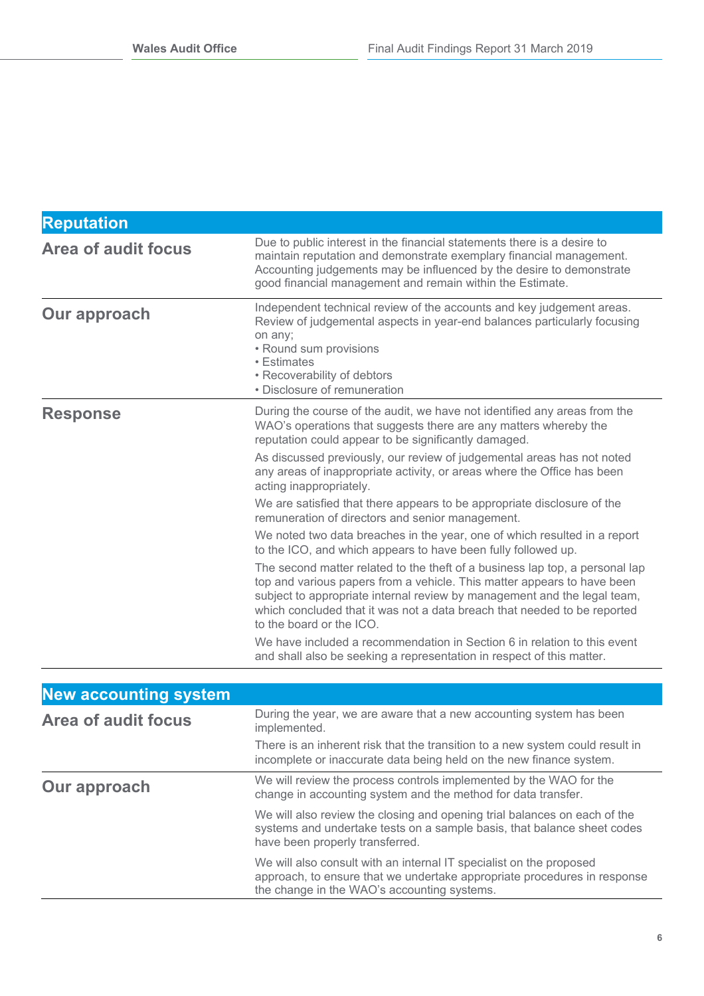| <b>Reputation</b>            |                                                                                                                                                                                                                                                                                                                                             |
|------------------------------|---------------------------------------------------------------------------------------------------------------------------------------------------------------------------------------------------------------------------------------------------------------------------------------------------------------------------------------------|
| <b>Area of audit focus</b>   | Due to public interest in the financial statements there is a desire to<br>maintain reputation and demonstrate exemplary financial management.<br>Accounting judgements may be influenced by the desire to demonstrate<br>good financial management and remain within the Estimate.                                                         |
| Our approach                 | Independent technical review of the accounts and key judgement areas.<br>Review of judgemental aspects in year-end balances particularly focusing<br>on any;<br>• Round sum provisions<br>• Estimates<br>• Recoverability of debtors<br>• Disclosure of remuneration                                                                        |
| <b>Response</b>              | During the course of the audit, we have not identified any areas from the<br>WAO's operations that suggests there are any matters whereby the<br>reputation could appear to be significantly damaged.                                                                                                                                       |
|                              | As discussed previously, our review of judgemental areas has not noted<br>any areas of inappropriate activity, or areas where the Office has been<br>acting inappropriately.                                                                                                                                                                |
|                              | We are satisfied that there appears to be appropriate disclosure of the<br>remuneration of directors and senior management.                                                                                                                                                                                                                 |
|                              | We noted two data breaches in the year, one of which resulted in a report<br>to the ICO, and which appears to have been fully followed up.                                                                                                                                                                                                  |
|                              | The second matter related to the theft of a business lap top, a personal lap<br>top and various papers from a vehicle. This matter appears to have been<br>subject to appropriate internal review by management and the legal team,<br>which concluded that it was not a data breach that needed to be reported<br>to the board or the ICO. |
|                              | We have included a recommendation in Section 6 in relation to this event<br>and shall also be seeking a representation in respect of this matter.                                                                                                                                                                                           |
|                              |                                                                                                                                                                                                                                                                                                                                             |
| <b>New accounting system</b> |                                                                                                                                                                                                                                                                                                                                             |
| <b>Area of audit focus</b>   | During the year, we are aware that a new accounting system has been<br>implemented.                                                                                                                                                                                                                                                         |

|              | There is an inherent risk that the transition to a new system could result in<br>incomplete or inaccurate data being held on the new finance system. |
|--------------|------------------------------------------------------------------------------------------------------------------------------------------------------|
| Our approach | We will review the process controls implemented by the WAO for the<br>change in accounting system and the method for data transfer.                  |

We will also review the closing and opening trial balances on each of the systems and undertake tests on a sample basis, that balance sheet codes have been properly transferred. We will also consult with an internal IT specialist on the proposed

approach, to ensure that we undertake appropriate procedures in response the change in the WAO's accounting systems.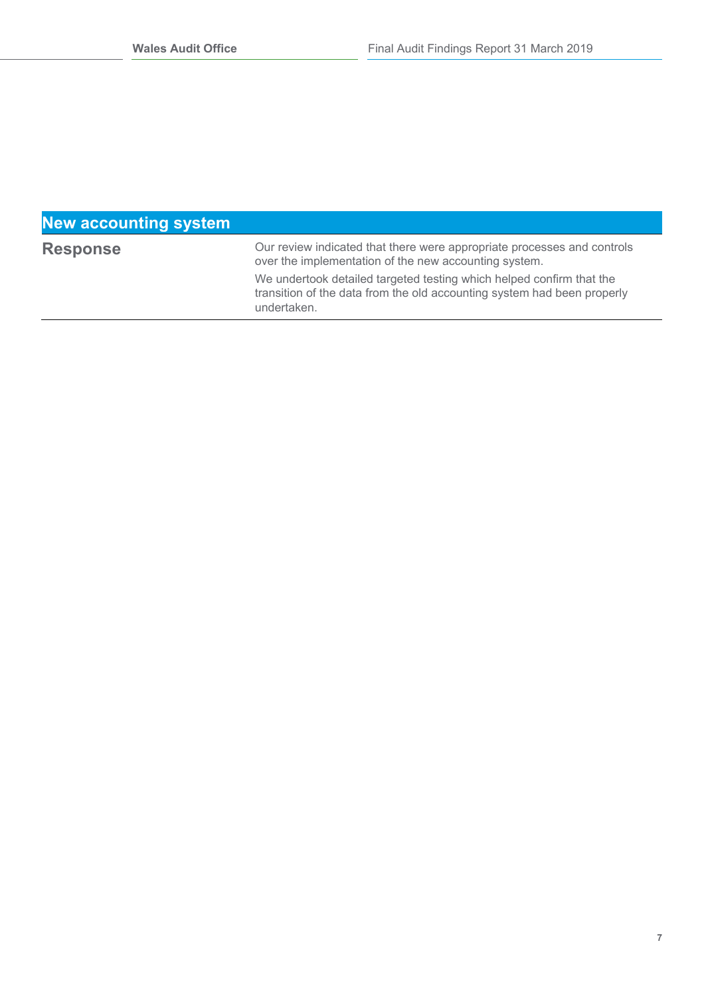### **New accounting system**

Our review indicated that there were appropriate processes and controls over the implementation of the new accounting system.

We undertook detailed targeted testing which helped confirm that the transition of the data from the old accounting system had been properly undertaken.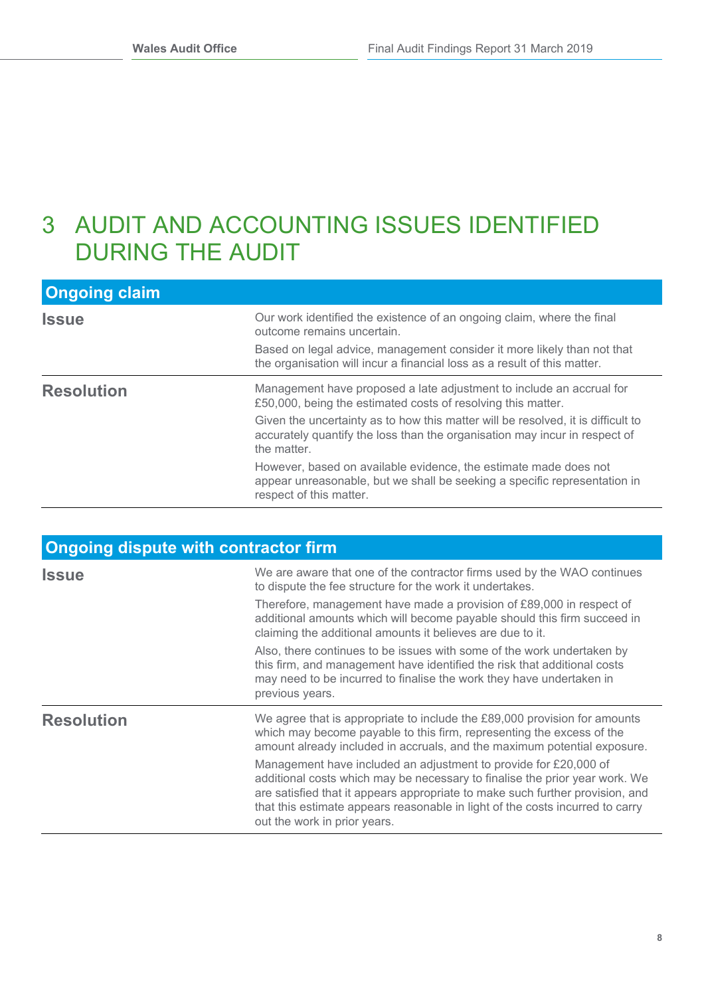## 3 AUDIT AND ACCOUNTING ISSUES IDENTIFIED DURING THE AUDIT

| <b>Ongoing claim</b> |                                                                                                                                                                               |
|----------------------|-------------------------------------------------------------------------------------------------------------------------------------------------------------------------------|
| <b>Issue</b>         | Our work identified the existence of an ongoing claim, where the final<br>outcome remains uncertain.                                                                          |
|                      | Based on legal advice, management consider it more likely than not that<br>the organisation will incur a financial loss as a result of this matter.                           |
| <b>Resolution</b>    | Management have proposed a late adjustment to include an accrual for<br>£50,000, being the estimated costs of resolving this matter.                                          |
|                      | Given the uncertainty as to how this matter will be resolved, it is difficult to<br>accurately quantify the loss than the organisation may incur in respect of<br>the matter. |
|                      | However, based on available evidence, the estimate made does not<br>appear unreasonable, but we shall be seeking a specific representation in<br>respect of this matter.      |

| <b>Ongoing dispute with contractor firm</b> |                                                                                                                                                                                                                                                                                                                                                   |  |
|---------------------------------------------|---------------------------------------------------------------------------------------------------------------------------------------------------------------------------------------------------------------------------------------------------------------------------------------------------------------------------------------------------|--|
| <b>Issue</b>                                | We are aware that one of the contractor firms used by the WAO continues<br>to dispute the fee structure for the work it undertakes.                                                                                                                                                                                                               |  |
|                                             | Therefore, management have made a provision of £89,000 in respect of<br>additional amounts which will become payable should this firm succeed in<br>claiming the additional amounts it believes are due to it.                                                                                                                                    |  |
|                                             | Also, there continues to be issues with some of the work undertaken by<br>this firm, and management have identified the risk that additional costs<br>may need to be incurred to finalise the work they have undertaken in<br>previous years.                                                                                                     |  |
| <b>Resolution</b>                           | We agree that is appropriate to include the $£89,000$ provision for amounts<br>which may become payable to this firm, representing the excess of the<br>amount already included in accruals, and the maximum potential exposure.                                                                                                                  |  |
|                                             | Management have included an adjustment to provide for £20,000 of<br>additional costs which may be necessary to finalise the prior year work. We<br>are satisfied that it appears appropriate to make such further provision, and<br>that this estimate appears reasonable in light of the costs incurred to carry<br>out the work in prior years. |  |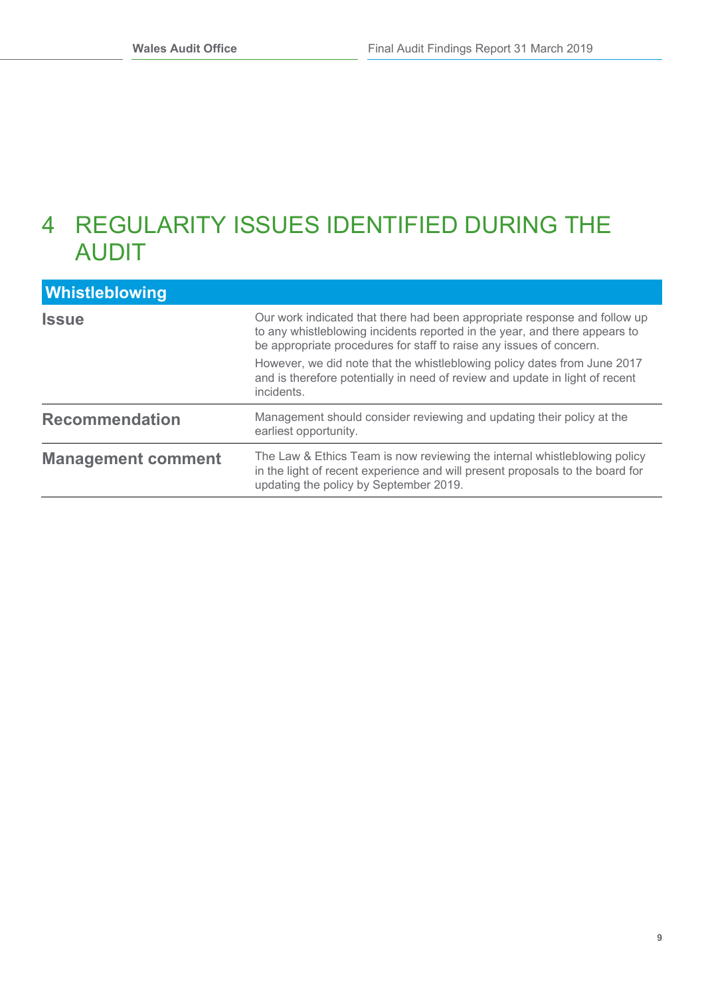## 4 REGULARITY ISSUES IDENTIFIED DURING THE AUDIT

| <b>Whistleblowing</b>     |                                                                                                                                                                                                                                |
|---------------------------|--------------------------------------------------------------------------------------------------------------------------------------------------------------------------------------------------------------------------------|
| <b>Issue</b>              | Our work indicated that there had been appropriate response and follow up<br>to any whistleblowing incidents reported in the year, and there appears to<br>be appropriate procedures for staff to raise any issues of concern. |
|                           | However, we did note that the whistleblowing policy dates from June 2017<br>and is therefore potentially in need of review and update in light of recent<br>incidents.                                                         |
| <b>Recommendation</b>     | Management should consider reviewing and updating their policy at the<br>earliest opportunity.                                                                                                                                 |
| <b>Management comment</b> | The Law & Ethics Team is now reviewing the internal whistleblowing policy<br>in the light of recent experience and will present proposals to the board for<br>updating the policy by September 2019.                           |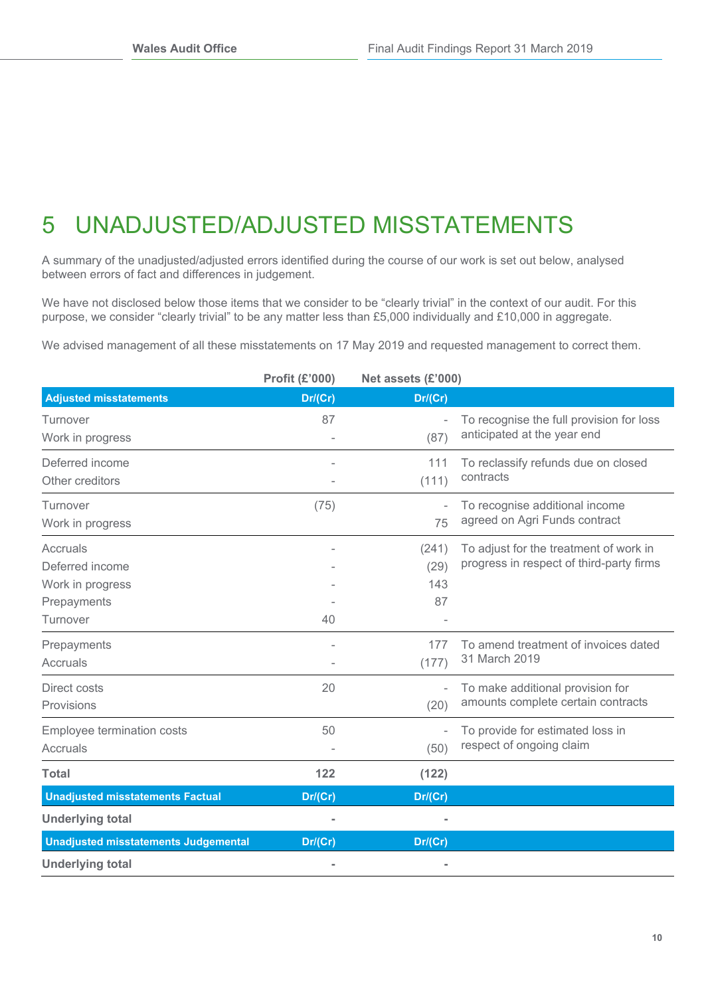# 5 UNADJUSTED/ADJUSTED MISSTATEMENTS

A summary of the unadjusted/adjusted errors identified during the course of our work is set out below, analysed between errors of fact and differences in judgement.

We have not disclosed below those items that we consider to be "clearly trivial" in the context of our audit. For this purpose, we consider "clearly trivial" to be any matter less than £5,000 individually and £10,000 in aggregate.

We advised management of all these misstatements on 17 May 2019 and requested management to correct them.

|                                             | <b>Profit (£'000)</b> | Net assets (£'000) |                                          |
|---------------------------------------------|-----------------------|--------------------|------------------------------------------|
| <b>Adjusted misstatements</b>               | Dr/(Cr)               | Dr/(Cr)            |                                          |
| Turnover                                    | 87                    |                    | To recognise the full provision for loss |
| Work in progress                            |                       | (87)               | anticipated at the year end              |
| Deferred income                             |                       | 111                | To reclassify refunds due on closed      |
| Other creditors                             |                       | (111)              | contracts                                |
| Turnover                                    | (75)                  |                    | To recognise additional income           |
| Work in progress                            |                       | 75                 | agreed on Agri Funds contract            |
| Accruals                                    |                       | (241)              | To adjust for the treatment of work in   |
| Deferred income                             |                       | (29)               | progress in respect of third-party firms |
| Work in progress                            |                       | 143                |                                          |
| Prepayments                                 |                       | 87                 |                                          |
| Turnover                                    | 40                    |                    |                                          |
| Prepayments                                 | ۰                     | 177                | To amend treatment of invoices dated     |
| Accruals                                    |                       | (177)              | 31 March 2019                            |
| Direct costs                                | 20                    | ٠                  | To make additional provision for         |
| Provisions                                  |                       | (20)               | amounts complete certain contracts       |
| <b>Employee termination costs</b>           | 50                    |                    | To provide for estimated loss in         |
| Accruals                                    |                       | (50)               | respect of ongoing claim                 |
| <b>Total</b>                                | 122                   | (122)              |                                          |
| <b>Unadjusted misstatements Factual</b>     | Dr/(Cr)               | Dr/(Cr)            |                                          |
| <b>Underlying total</b>                     |                       |                    |                                          |
| <b>Unadjusted misstatements Judgemental</b> | Dr/(Cr)               | Dr/(Cr)            |                                          |
| <b>Underlying total</b>                     |                       |                    |                                          |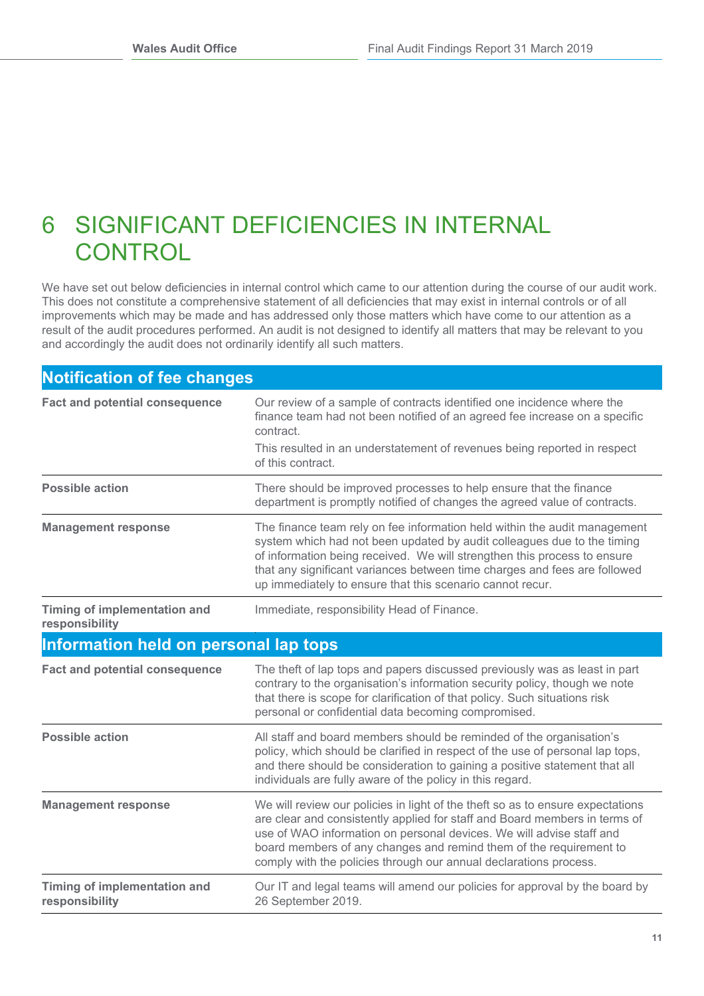## 6 SIGNIFICANT DEFICIENCIES IN INTERNAL **CONTROL**

We have set out below deficiencies in internal control which came to our attention during the course of our audit work. This does not constitute a comprehensive statement of all deficiencies that may exist in internal controls or of all improvements which may be made and has addressed only those matters which have come to our attention as a result of the audit procedures performed. An audit is not designed to identify all matters that may be relevant to you and accordingly the audit does not ordinarily identify all such matters.

| <b>Notification of fee changes</b>                    |                                                                                                                                                                                                                                                                                                                                                                                 |  |  |
|-------------------------------------------------------|---------------------------------------------------------------------------------------------------------------------------------------------------------------------------------------------------------------------------------------------------------------------------------------------------------------------------------------------------------------------------------|--|--|
| <b>Fact and potential consequence</b>                 | Our review of a sample of contracts identified one incidence where the<br>finance team had not been notified of an agreed fee increase on a specific<br>contract.                                                                                                                                                                                                               |  |  |
|                                                       | This resulted in an understatement of revenues being reported in respect<br>of this contract.                                                                                                                                                                                                                                                                                   |  |  |
| <b>Possible action</b>                                | There should be improved processes to help ensure that the finance<br>department is promptly notified of changes the agreed value of contracts.                                                                                                                                                                                                                                 |  |  |
| <b>Management response</b>                            | The finance team rely on fee information held within the audit management<br>system which had not been updated by audit colleagues due to the timing<br>of information being received. We will strengthen this process to ensure<br>that any significant variances between time charges and fees are followed<br>up immediately to ensure that this scenario cannot recur.      |  |  |
| <b>Timing of implementation and</b><br>responsibility | Immediate, responsibility Head of Finance.                                                                                                                                                                                                                                                                                                                                      |  |  |
| Information held on personal lap tops                 |                                                                                                                                                                                                                                                                                                                                                                                 |  |  |
| <b>Fact and potential consequence</b>                 | The theft of lap tops and papers discussed previously was as least in part<br>contrary to the organisation's information security policy, though we note<br>that there is scope for clarification of that policy. Such situations risk<br>personal or confidential data becoming compromised.                                                                                   |  |  |
| <b>Possible action</b>                                | All staff and board members should be reminded of the organisation's<br>policy, which should be clarified in respect of the use of personal lap tops,<br>and there should be consideration to gaining a positive statement that all<br>individuals are fully aware of the policy in this regard.                                                                                |  |  |
| <b>Management response</b>                            | We will review our policies in light of the theft so as to ensure expectations<br>are clear and consistently applied for staff and Board members in terms of<br>use of WAO information on personal devices. We will advise staff and<br>board members of any changes and remind them of the requirement to<br>comply with the policies through our annual declarations process. |  |  |
| Timing of implementation and<br>responsibility        | Our IT and legal teams will amend our policies for approval by the board by<br>26 September 2019.                                                                                                                                                                                                                                                                               |  |  |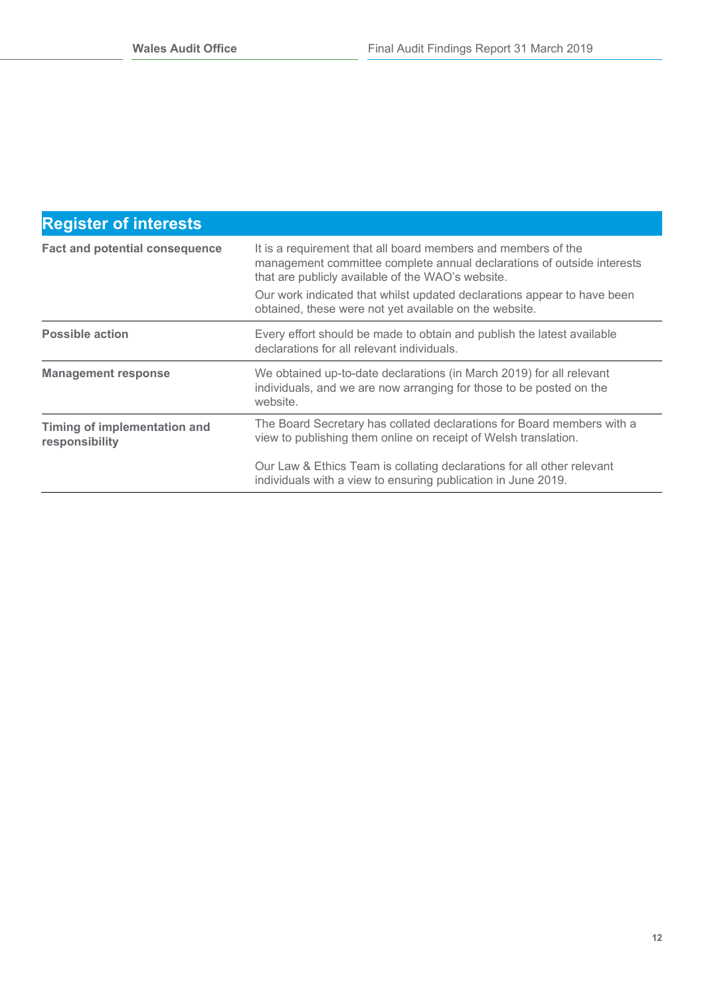### **Register of interests**

| <b>Fact and potential consequence</b>          | It is a requirement that all board members and members of the<br>management committee complete annual declarations of outside interests<br>that are publicly available of the WAO's website.<br>Our work indicated that whilst updated declarations appear to have been<br>obtained, these were not yet available on the website. |
|------------------------------------------------|-----------------------------------------------------------------------------------------------------------------------------------------------------------------------------------------------------------------------------------------------------------------------------------------------------------------------------------|
| <b>Possible action</b>                         | Every effort should be made to obtain and publish the latest available<br>declarations for all relevant individuals.                                                                                                                                                                                                              |
| <b>Management response</b>                     | We obtained up-to-date declarations (in March 2019) for all relevant<br>individuals, and we are now arranging for those to be posted on the<br>website.                                                                                                                                                                           |
| Timing of implementation and<br>responsibility | The Board Secretary has collated declarations for Board members with a<br>view to publishing them online on receipt of Welsh translation.                                                                                                                                                                                         |
|                                                | Our Law & Ethics Team is collating declarations for all other relevant<br>individuals with a view to ensuring publication in June 2019.                                                                                                                                                                                           |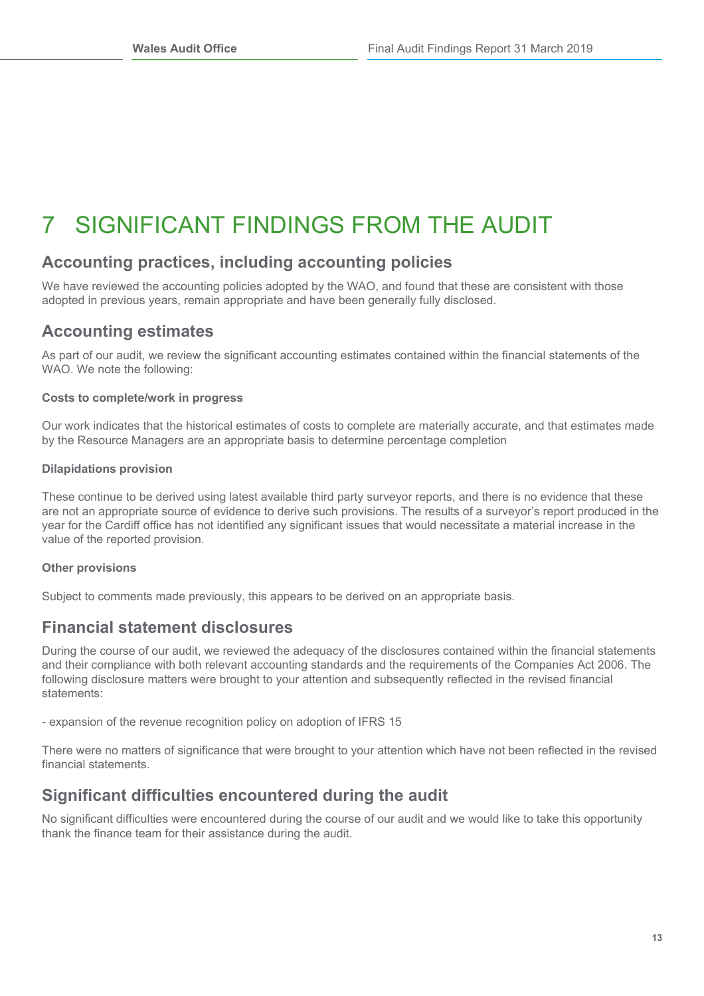# 7 SIGNIFICANT FINDINGS FROM THE AUDIT

### **Accounting practices, including accounting policies**

We have reviewed the accounting policies adopted by the WAO, and found that these are consistent with those adopted in previous years, remain appropriate and have been generally fully disclosed.

### **Accounting estimates**

As part of our audit, we review the significant accounting estimates contained within the financial statements of the WAO. We note the following:

### **Costs to complete/work in progress**

Our work indicates that the historical estimates of costs to complete are materially accurate, and that estimates made by the Resource Managers are an appropriate basis to determine percentage completion

### **Dilapidations provision**

These continue to be derived using latest available third party surveyor reports, and there is no evidence that these are not an appropriate source of evidence to derive such provisions. The results of a surveyor's report produced in the year for the Cardiff office has not identified any significant issues that would necessitate a material increase in the value of the reported provision.

### **Other provisions**

Subject to comments made previously, this appears to be derived on an appropriate basis.

### **Financial statement disclosures**

During the course of our audit, we reviewed the adequacy of the disclosures contained within the financial statements and their compliance with both relevant accounting standards and the requirements of the Companies Act 2006. The following disclosure matters were brought to your attention and subsequently reflected in the revised financial statements:

- expansion of the revenue recognition policy on adoption of IFRS 15

There were no matters of significance that were brought to your attention which have not been reflected in the revised financial statements.

### **Significant difficulties encountered during the audit**

No significant difficulties were encountered during the course of our audit and we would like to take this opportunity thank the finance team for their assistance during the audit.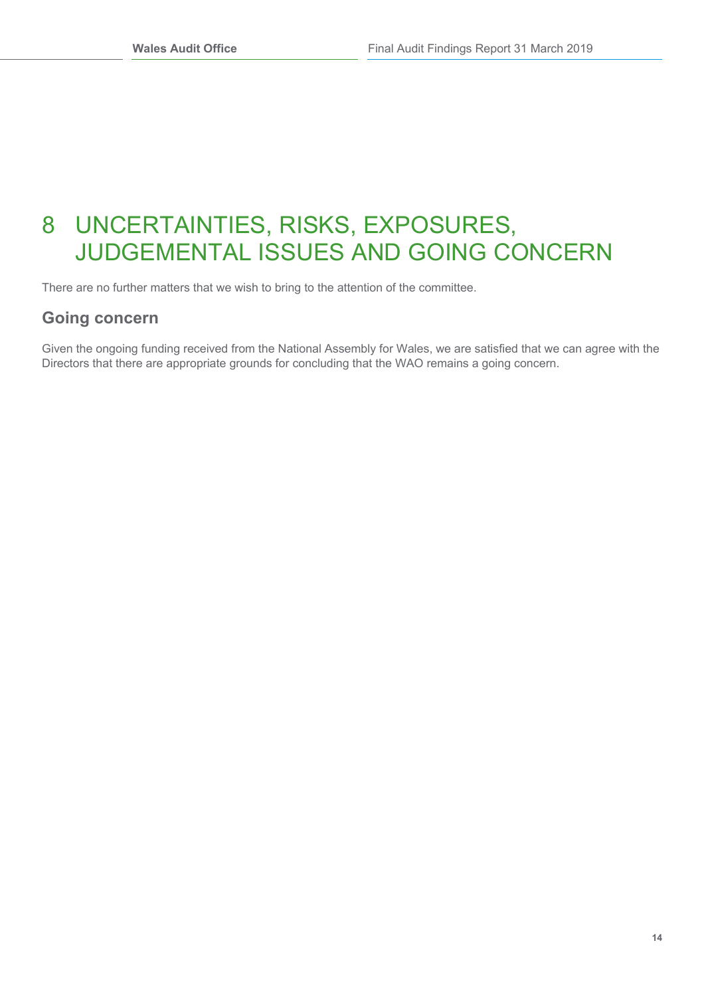## 8 UNCERTAINTIES, RISKS, EXPOSURES, JUDGEMENTAL ISSUES AND GOING CONCERN

There are no further matters that we wish to bring to the attention of the committee.

### **Going concern**

Given the ongoing funding received from the National Assembly for Wales, we are satisfied that we can agree with the Directors that there are appropriate grounds for concluding that the WAO remains a going concern.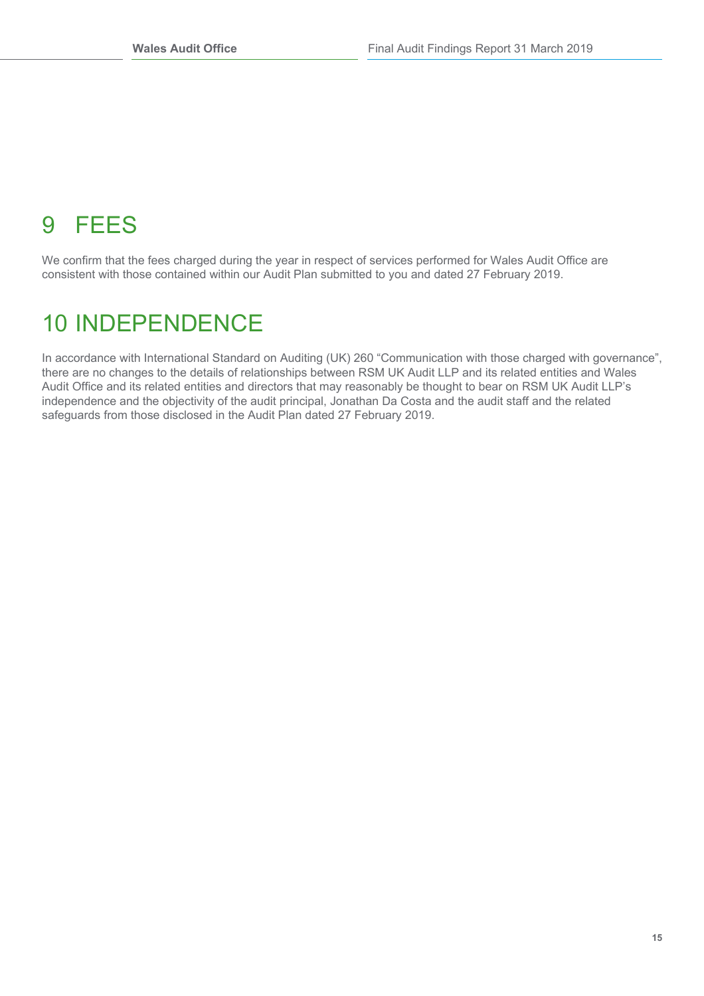# 9 FEES

We confirm that the fees charged during the year in respect of services performed for Wales Audit Office are consistent with those contained within our Audit Plan submitted to you and dated 27 February 2019.

## 10 INDEPENDENCE

In accordance with International Standard on Auditing (UK) 260 "Communication with those charged with governance", there are no changes to the details of relationships between RSM UK Audit LLP and its related entities and Wales Audit Office and its related entities and directors that may reasonably be thought to bear on RSM UK Audit LLP's independence and the objectivity of the audit principal, Jonathan Da Costa and the audit staff and the related safeguards from those disclosed in the Audit Plan dated 27 February 2019.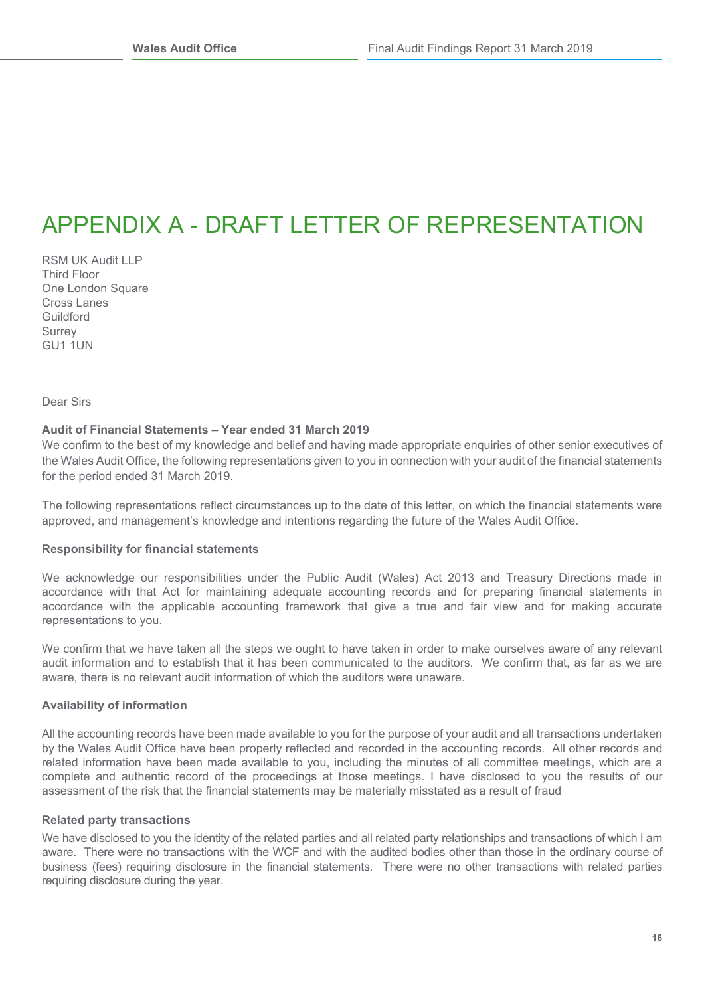## APPENDIX A - DRAFT LETTER OF REPRESENTATION

RSM UK Audit LLP Third Floor One London Square Cross Lanes Guildford **Surrey** GU1 1UN

Dear Sirs

#### **Audit of Financial Statements – Year ended 31 March 2019**

We confirm to the best of my knowledge and belief and having made appropriate enquiries of other senior executives of the Wales Audit Office, the following representations given to you in connection with your audit of the financial statements for the period ended 31 March 2019.

The following representations reflect circumstances up to the date of this letter, on which the financial statements were approved, and management's knowledge and intentions regarding the future of the Wales Audit Office.

#### **Responsibility for financial statements**

We acknowledge our responsibilities under the Public Audit (Wales) Act 2013 and Treasury Directions made in accordance with that Act for maintaining adequate accounting records and for preparing financial statements in accordance with the applicable accounting framework that give a true and fair view and for making accurate representations to you.

We confirm that we have taken all the steps we ought to have taken in order to make ourselves aware of any relevant audit information and to establish that it has been communicated to the auditors. We confirm that, as far as we are aware, there is no relevant audit information of which the auditors were unaware.

#### **Availability of information**

All the accounting records have been made available to you for the purpose of your audit and all transactions undertaken by the Wales Audit Office have been properly reflected and recorded in the accounting records. All other records and related information have been made available to you, including the minutes of all committee meetings, which are a complete and authentic record of the proceedings at those meetings. I have disclosed to you the results of our assessment of the risk that the financial statements may be materially misstated as a result of fraud

#### **Related party transactions**

We have disclosed to you the identity of the related parties and all related party relationships and transactions of which I am aware. There were no transactions with the WCF and with the audited bodies other than those in the ordinary course of business (fees) requiring disclosure in the financial statements. There were no other transactions with related parties requiring disclosure during the year.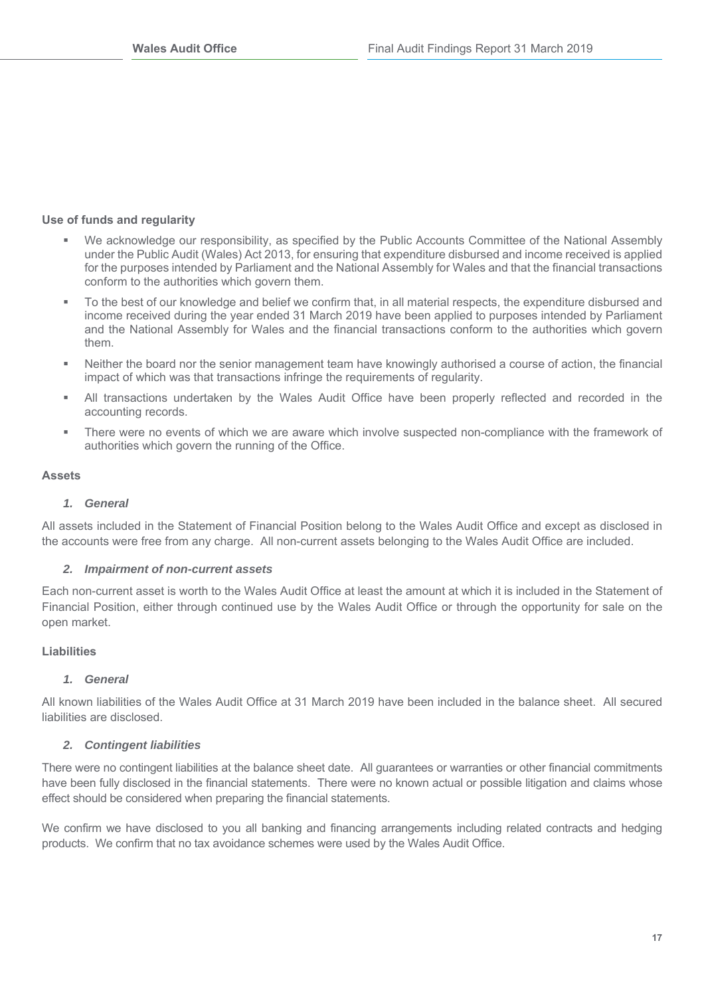### **Use of funds and regularity**

- We acknowledge our responsibility, as specified by the Public Accounts Committee of the National Assembly under the Public Audit (Wales) Act 2013, for ensuring that expenditure disbursed and income received is applied for the purposes intended by Parliament and the National Assembly for Wales and that the financial transactions conform to the authorities which govern them.
- To the best of our knowledge and belief we confirm that, in all material respects, the expenditure disbursed and income received during the year ended 31 March 2019 have been applied to purposes intended by Parliament and the National Assembly for Wales and the financial transactions conform to the authorities which govern them.
- Neither the board nor the senior management team have knowingly authorised a course of action, the financial impact of which was that transactions infringe the requirements of regularity.
- All transactions undertaken by the Wales Audit Office have been properly reflected and recorded in the accounting records.
- There were no events of which we are aware which involve suspected non-compliance with the framework of authorities which govern the running of the Office.

### **Assets**

### *1. General*

All assets included in the Statement of Financial Position belong to the Wales Audit Office and except as disclosed in the accounts were free from any charge. All non-current assets belonging to the Wales Audit Office are included.

### *2. Impairment of non-current assets*

Each non-current asset is worth to the Wales Audit Office at least the amount at which it is included in the Statement of Financial Position, either through continued use by the Wales Audit Office or through the opportunity for sale on the open market.

### **Liabilities**

### *1. General*

All known liabilities of the Wales Audit Office at 31 March 2019 have been included in the balance sheet. All secured liabilities are disclosed.

### *2. Contingent liabilities*

There were no contingent liabilities at the balance sheet date. All guarantees or warranties or other financial commitments have been fully disclosed in the financial statements. There were no known actual or possible litigation and claims whose effect should be considered when preparing the financial statements.

We confirm we have disclosed to you all banking and financing arrangements including related contracts and hedging products. We confirm that no tax avoidance schemes were used by the Wales Audit Office.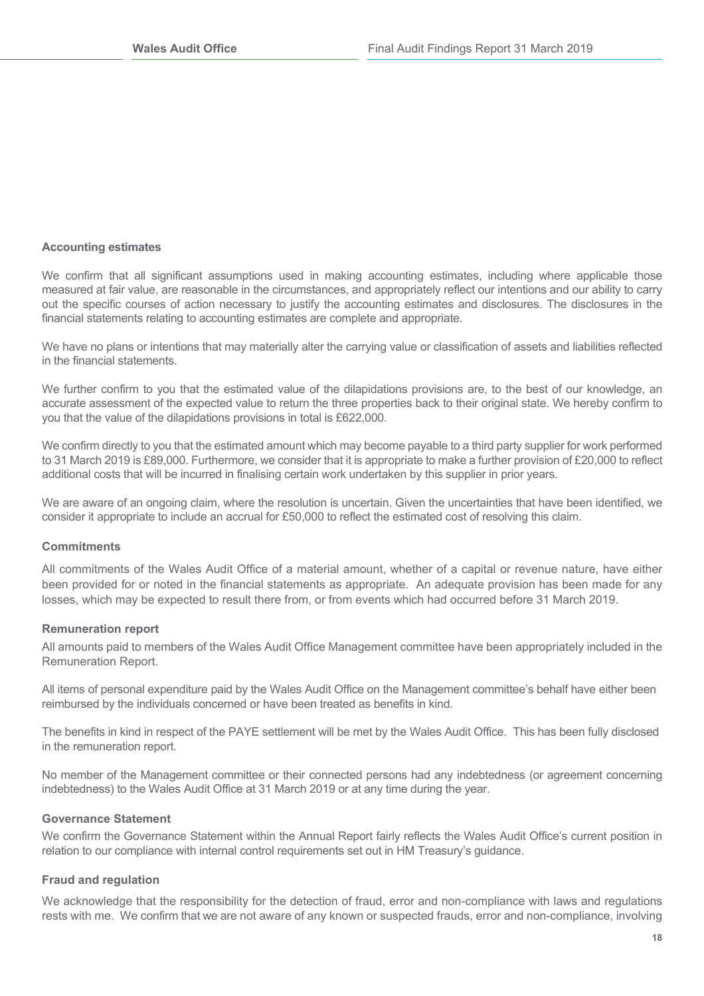#### **Accounting estimates**

We confirm that all significant assumptions used in making accounting estimates, including where applicable those measured at fair value, are reasonable in the circumstances, and appropriately reflect our intentions and our ability to carry out the specific courses of action necessary to justify the accounting estimates and disclosures. The disclosures in the financial statements relating to accounting estimates are complete and appropriate.

We have no plans or intentions that may materially alter the carrying value or classification of assets and liabilities reflected in the financial statements.

We further confirm to you that the estimated value of the dilapidations provisions are, to the best of our knowledge, an accurate assessment of the expected value to return the three properties back to their original state. We hereby confirm to you that the value of the dilapidations provisions in total is £622,000.

We confirm directly to you that the estimated amount which may become payable to a third party supplier for work performed to 31 March 2019 is £89,000. Furthermore, we consider that it is appropriate to make a further provision of £20,000 to reflect additional costs that will be incurred in finalising certain work undertaken by this supplier in prior years.

We are aware of an ongoing claim, where the resolution is uncertain. Given the uncertainties that have been identified, we consider it appropriate to include an accrual for £50,000 to reflect the estimated cost of resolving this claim.

#### **Commitments**

All commitments of the Wales Audit Office of a material amount, whether of a capital or revenue nature, have either been provided for or noted in the financial statements as appropriate. An adequate provision has been made for any losses, which may be expected to result there from, or from events which had occurred before 31 March 2019.

#### **Remuneration report**

All amounts paid to members of the Wales Audit Office Management committee have been appropriately included in the Remuneration Report.

All items of personal expenditure paid by the Wales Audit Office on the Management committee's behalf have either been reimbursed by the individuals concerned or have been treated as benefits in kind.

The benefits in kind in respect of the PAYE settlement will be met by the Wales Audit Office. This has been fully disclosed in the remuneration report.

No member of the Management committee or their connected persons had any indebtedness (or agreement concerning indebtedness) to the Wales Audit Office at 31 March 2019 or at any time during the year.

#### **Governance Statement**

We confirm the Governance Statement within the Annual Report fairly reflects the Wales Audit Office's current position in relation to our compliance with internal control requirements set out in HM Treasury's guidance.

#### **Fraud and regulation**

We acknowledge that the responsibility for the detection of fraud, error and non-compliance with laws and regulations rests with me. We confirm that we are not aware of any known or suspected frauds, error and non-compliance, involving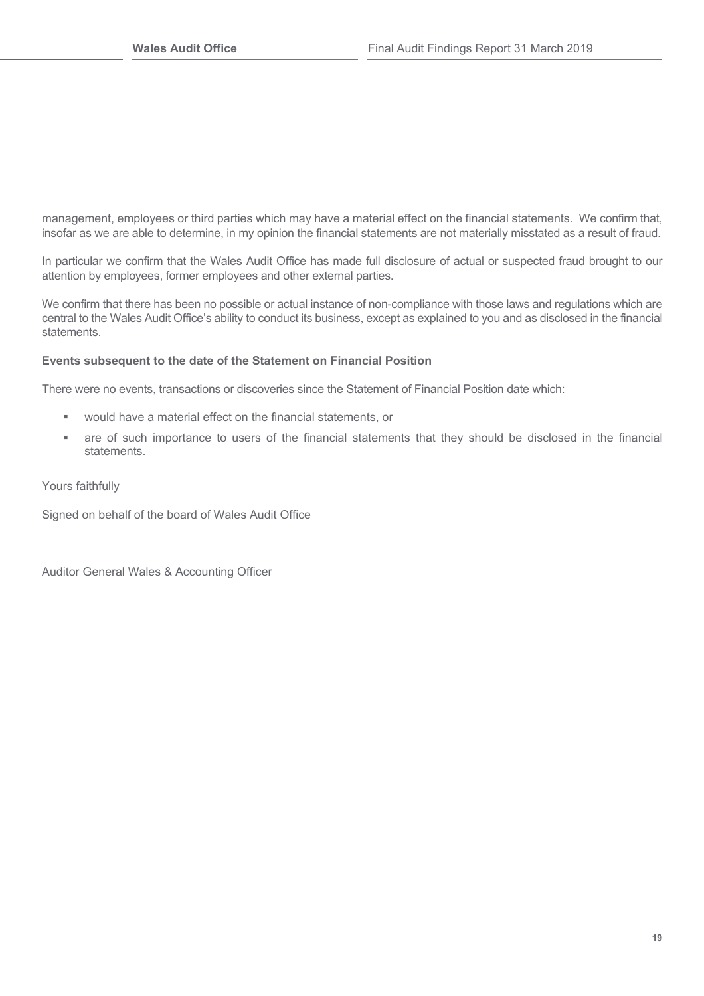management, employees or third parties which may have a material effect on the financial statements. We confirm that, insofar as we are able to determine, in my opinion the financial statements are not materially misstated as a result of fraud.

In particular we confirm that the Wales Audit Office has made full disclosure of actual or suspected fraud brought to our attention by employees, former employees and other external parties.

We confirm that there has been no possible or actual instance of non-compliance with those laws and regulations which are central to the Wales Audit Office's ability to conduct its business, except as explained to you and as disclosed in the financial statements.

### **Events subsequent to the date of the Statement on Financial Position**

There were no events, transactions or discoveries since the Statement of Financial Position date which:

- would have a material effect on the financial statements, or
- are of such importance to users of the financial statements that they should be disclosed in the financial statements.

Yours faithfully

Signed on behalf of the board of Wales Audit Office

Auditor General Wales & Accounting Officer